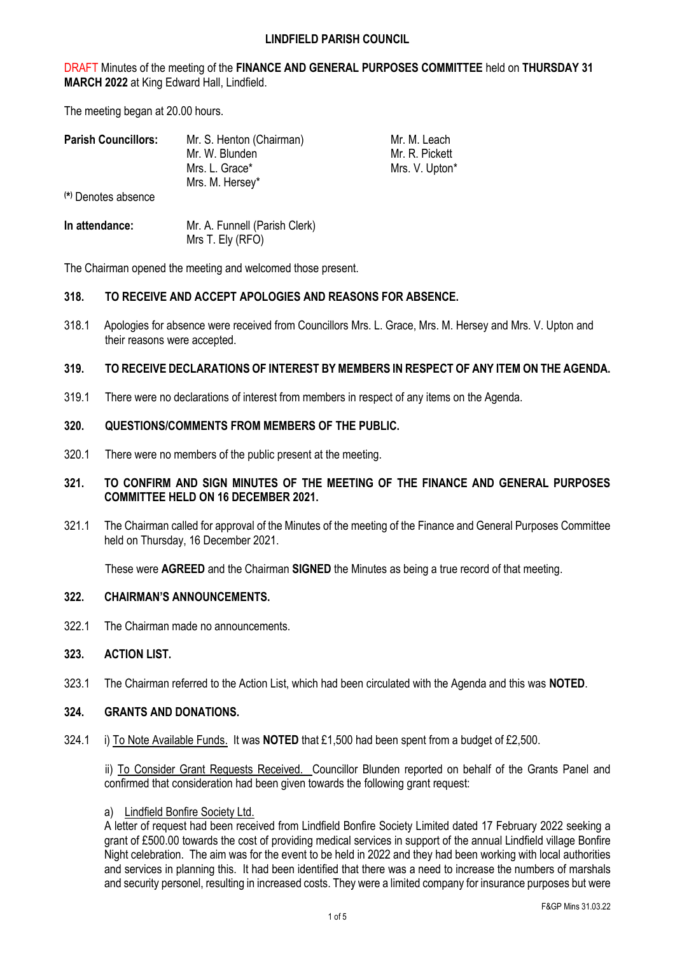DRAFT Minutes of the meeting of the **FINANCE AND GENERAL PURPOSES COMMITTEE** held on **THURSDAY 31 MARCH 2022** at King Edward Hall, Lindfield.

The meeting began at 20.00 hours.

| <b>Parish Councillors:</b> | Mr. S. Henton (Chairman) | Mr. M. Leach   |
|----------------------------|--------------------------|----------------|
|                            | Mr. W. Blunden           | Mr. R. Pickett |
|                            | Mrs. L. Grace*           | Mrs. V. Upton* |
|                            | Mrs. M. Hersey*          |                |
| (*) Denotes absence        |                          |                |

| In attendance: | Mr. A. Funnell (Parish Clerk) |
|----------------|-------------------------------|
|                | Mrs T. Ely (RFO)              |

The Chairman opened the meeting and welcomed those present.

# **318. TO RECEIVE AND ACCEPT APOLOGIES AND REASONS FOR ABSENCE.**

318.1 Apologies for absence were received from Councillors Mrs. L. Grace, Mrs. M. Hersey and Mrs. V. Upton and their reasons were accepted.

# **319. TO RECEIVE DECLARATIONS OF INTEREST BY MEMBERS IN RESPECT OF ANY ITEM ON THE AGENDA.**

319.1 There were no declarations of interest from members in respect of any items on the Agenda.

## **320. QUESTIONS/COMMENTS FROM MEMBERS OF THE PUBLIC.**

320.1 There were no members of the public present at the meeting.

# **321. TO CONFIRM AND SIGN MINUTES OF THE MEETING OF THE FINANCE AND GENERAL PURPOSES COMMITTEE HELD ON 16 DECEMBER 2021.**

321.1 The Chairman called for approval of the Minutes of the meeting of the Finance and General Purposes Committee held on Thursday, 16 December 2021.

These were **AGREED** and the Chairman **SIGNED** the Minutes as being a true record of that meeting.

# **322. CHAIRMAN'S ANNOUNCEMENTS.**

322.1 The Chairman made no announcements.

# **323. ACTION LIST.**

323.1 The Chairman referred to the Action List, which had been circulated with the Agenda and this was **NOTED**.

## **324. GRANTS AND DONATIONS.**

324.1 i) To Note Available Funds.It was **NOTED** that £1,500 had been spent from a budget of £2,500.

ii) To Consider Grant Requests Received. Councillor Blunden reported on behalf of the Grants Panel and confirmed that consideration had been given towards the following grant request:

## a) Lindfield Bonfire Society Ltd.

A letter of request had been received from Lindfield Bonfire Society Limited dated 17 February 2022 seeking a grant of £500.00 towards the cost of providing medical services in support of the annual Lindfield village Bonfire Night celebration. The aim was for the event to be held in 2022 and they had been working with local authorities and services in planning this. It had been identified that there was a need to increase the numbers of marshals and security personel, resulting in increased costs. They were a limited company for insurance purposes but were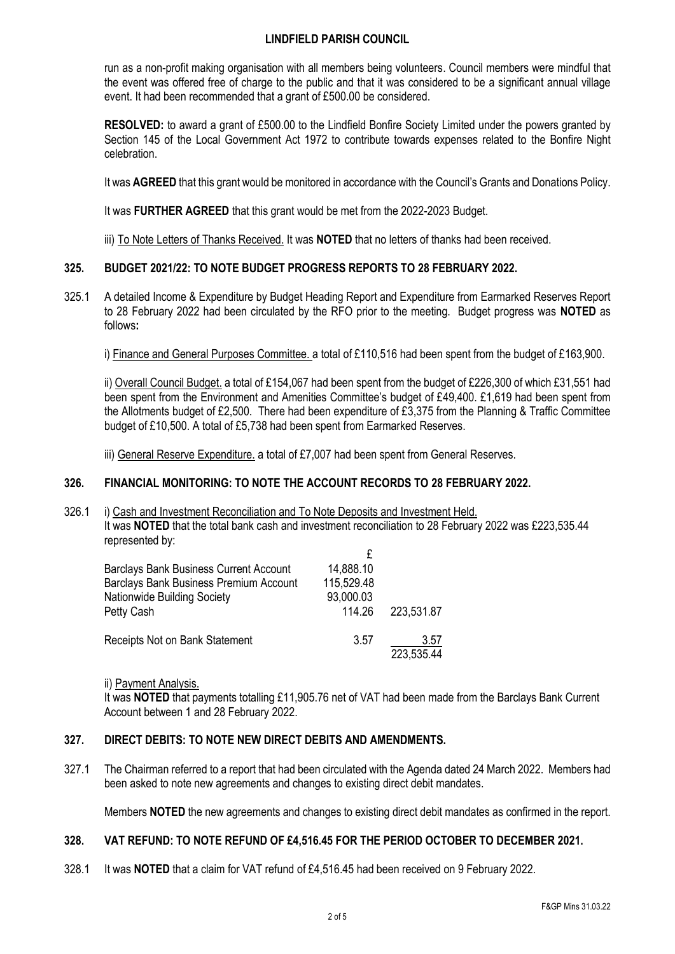run as a non-profit making organisation with all members being volunteers. Council members were mindful that the event was offered free of charge to the public and that it was considered to be a significant annual village event. It had been recommended that a grant of £500.00 be considered.

**RESOLVED:** to award a grant of £500.00 to the Lindfield Bonfire Society Limited under the powers granted by Section 145 of the Local Government Act 1972 to contribute towards expenses related to the Bonfire Night celebration.

It was **AGREED** that this grant would be monitored in accordance with the Council's Grants and Donations Policy.

It was **FURTHER AGREED** that this grant would be met from the 2022-2023 Budget.

iii) To Note Letters of Thanks Received. It was **NOTED** that no letters of thanks had been received.

# **325. BUDGET 2021/22: TO NOTE BUDGET PROGRESS REPORTS TO 28 FEBRUARY 2022.**

325.1 A detailed Income & Expenditure by Budget Heading Report and Expenditure from Earmarked Reserves Report to 28 February 2022 had been circulated by the RFO prior to the meeting. Budget progress was **NOTED** as follows**:**

i) Finance and General Purposes Committee. a total of £110,516 had been spent from the budget of £163,900.

ii) Overall Council Budget. a total of £154,067 had been spent from the budget of £226,300 of which £31,551 had been spent from the Environment and Amenities Committee's budget of £49,400. £1,619 had been spent from the Allotments budget of £2,500. There had been expenditure of £3,375 from the Planning & Traffic Committee budget of £10,500. A total of £5,738 had been spent from Earmarked Reserves.

iii) General Reserve Expenditure. a total of £7,007 had been spent from General Reserves.

# **326. FINANCIAL MONITORING: TO NOTE THE ACCOUNT RECORDS TO 28 FEBRUARY 2022.**

326.1 i) Cash and Investment Reconciliation and To Note Deposits and Investment Held. It was **NOTED** that the total bank cash and investment reconciliation to 28 February 2022 was £223,535.44 represented by:

| <b>Barclays Bank Business Current Account</b> | 14,888.10  |            |
|-----------------------------------------------|------------|------------|
| Barclays Bank Business Premium Account        | 115,529.48 |            |
| Nationwide Building Society                   | 93,000.03  |            |
| Petty Cash                                    | 114.26     | 223,531.87 |
| Receipts Not on Bank Statement                | 3.57       | 3.57       |
|                                               |            | 223,535.44 |

ii) Payment Analysis.

It was **NOTED** that payments totalling £11,905.76 net of VAT had been made from the Barclays Bank Current Account between 1 and 28 February 2022.

# **327. DIRECT DEBITS: TO NOTE NEW DIRECT DEBITS AND AMENDMENTS.**

327.1 The Chairman referred to a report that had been circulated with the Agenda dated 24 March 2022. Members had been asked to note new agreements and changes to existing direct debit mandates.

Members **NOTED** the new agreements and changes to existing direct debit mandates as confirmed in the report.

# **328. VAT REFUND: TO NOTE REFUND OF £4,516.45 FOR THE PERIOD OCTOBER TO DECEMBER 2021.**

328.1 It was **NOTED** that a claim for VAT refund of £4,516.45 had been received on 9 February 2022.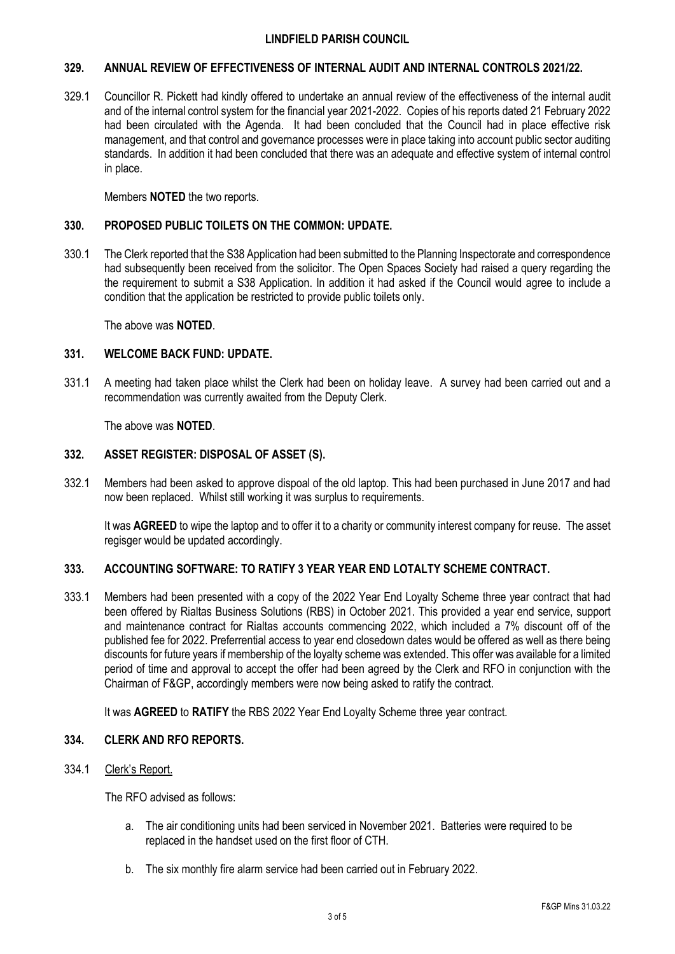## **329. ANNUAL REVIEW OF EFFECTIVENESS OF INTERNAL AUDIT AND INTERNAL CONTROLS 2021/22.**

329.1 Councillor R. Pickett had kindly offered to undertake an annual review of the effectiveness of the internal audit and of the internal control system for the financial year 2021-2022. Copies of his reports dated 21 February 2022 had been circulated with the Agenda. It had been concluded that the Council had in place effective risk management, and that control and governance processes were in place taking into account public sector auditing standards. In addition it had been concluded that there was an adequate and effective system of internal control in place.

Members **NOTED** the two reports.

## **330. PROPOSED PUBLIC TOILETS ON THE COMMON: UPDATE.**

330.1 The Clerk reported that the S38 Application had been submitted to the Planning Inspectorate and correspondence had subsequently been received from the solicitor. The Open Spaces Society had raised a query regarding the the requirement to submit a S38 Application. In addition it had asked if the Council would agree to include a condition that the application be restricted to provide public toilets only.

The above was **NOTED**.

## **331. WELCOME BACK FUND: UPDATE.**

331.1 A meeting had taken place whilst the Clerk had been on holiday leave. A survey had been carried out and a recommendation was currently awaited from the Deputy Clerk.

The above was **NOTED**.

# **332. ASSET REGISTER: DISPOSAL OF ASSET (S).**

332.1 Members had been asked to approve dispoal of the old laptop. This had been purchased in June 2017 and had now been replaced. Whilst still working it was surplus to requirements.

It was **AGREED** to wipe the laptop and to offer it to a charity or community interest company for reuse. The asset regisger would be updated accordingly.

## **333. ACCOUNTING SOFTWARE: TO RATIFY 3 YEAR YEAR END LOTALTY SCHEME CONTRACT.**

333.1 Members had been presented with a copy of the 2022 Year End Loyalty Scheme three year contract that had been offered by Rialtas Business Solutions (RBS) in October 2021. This provided a year end service, support and maintenance contract for Rialtas accounts commencing 2022, which included a 7% discount off of the published fee for 2022. Preferrential access to year end closedown dates would be offered as well as there being discounts for future years if membership of the loyalty scheme was extended. This offer was available for a limited period of time and approval to accept the offer had been agreed by the Clerk and RFO in conjunction with the Chairman of F&GP, accordingly members were now being asked to ratify the contract.

It was **AGREED** to **RATIFY** the RBS 2022 Year End Loyalty Scheme three year contract.

# **334. CLERK AND RFO REPORTS.**

334.1 Clerk's Report.

The RFO advised as follows:

- a. The air conditioning units had been serviced in November 2021. Batteries were required to be replaced in the handset used on the first floor of CTH.
- b. The six monthly fire alarm service had been carried out in February 2022.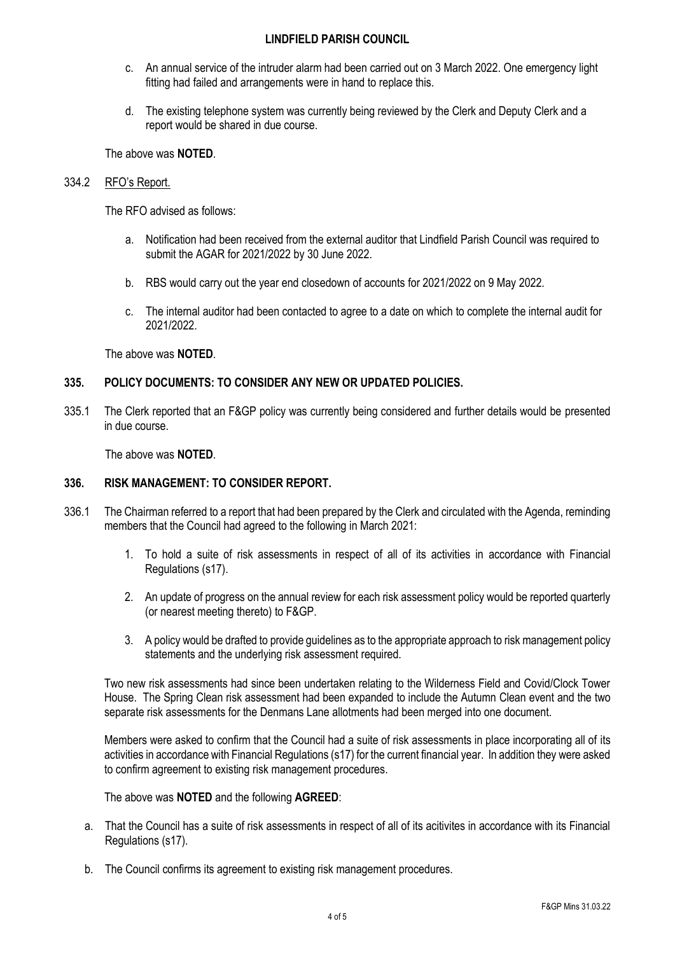- c. An annual service of the intruder alarm had been carried out on 3 March 2022. One emergency light fitting had failed and arrangements were in hand to replace this.
- d. The existing telephone system was currently being reviewed by the Clerk and Deputy Clerk and a report would be shared in due course.

The above was **NOTED**.

## 334.2 RFO's Report.

The RFO advised as follows:

- a. Notification had been received from the external auditor that Lindfield Parish Council was required to submit the AGAR for 2021/2022 by 30 June 2022.
- b. RBS would carry out the year end closedown of accounts for 2021/2022 on 9 May 2022.
- c. The internal auditor had been contacted to agree to a date on which to complete the internal audit for 2021/2022.

The above was **NOTED**.

## **335. POLICY DOCUMENTS: TO CONSIDER ANY NEW OR UPDATED POLICIES.**

335.1 The Clerk reported that an F&GP policy was currently being considered and further details would be presented in due course.

The above was **NOTED**.

# **336. RISK MANAGEMENT: TO CONSIDER REPORT.**

- 336.1 The Chairman referred to a report that had been prepared by the Clerk and circulated with the Agenda, reminding members that the Council had agreed to the following in March 2021:
	- 1. To hold a suite of risk assessments in respect of all of its activities in accordance with Financial Regulations (s17).
	- 2. An update of progress on the annual review for each risk assessment policy would be reported quarterly (or nearest meeting thereto) to F&GP.
	- 3. A policy would be drafted to provide guidelines as to the appropriate approach to risk management policy statements and the underlying risk assessment required.

Two new risk assessments had since been undertaken relating to the Wilderness Field and Covid/Clock Tower House. The Spring Clean risk assessment had been expanded to include the Autumn Clean event and the two separate risk assessments for the Denmans Lane allotments had been merged into one document.

Members were asked to confirm that the Council had a suite of risk assessments in place incorporating all of its activities in accordance with Financial Regulations (s17) for the current financial year. In addition they were asked to confirm agreement to existing risk management procedures.

The above was **NOTED** and the following **AGREED**:

- a. That the Council has a suite of risk assessments in respect of all of its acitivites in accordance with its Financial Regulations (s17).
- b. The Council confirms its agreement to existing risk management procedures.